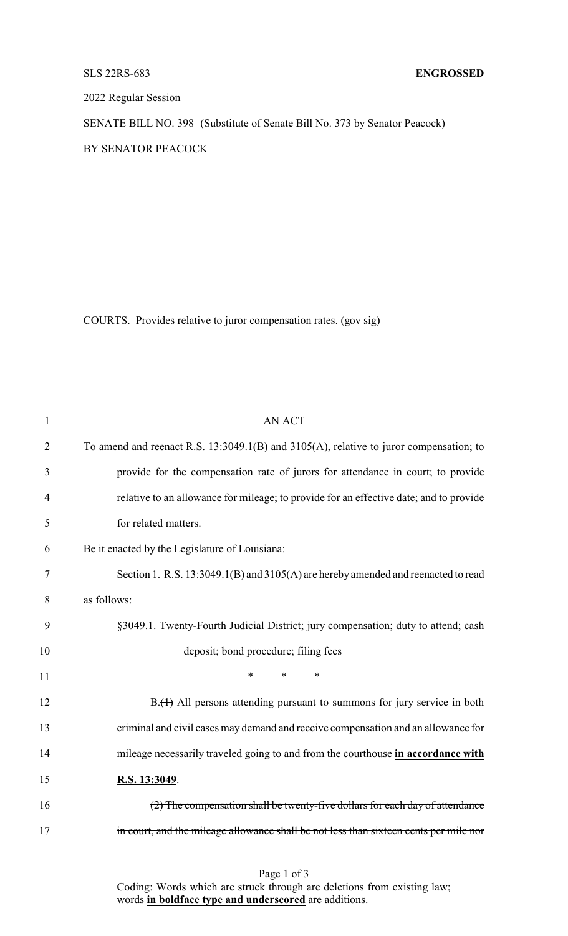## SLS 22RS-683 **ENGROSSED**

2022 Regular Session

SENATE BILL NO. 398 (Substitute of Senate Bill No. 373 by Senator Peacock) BY SENATOR PEACOCK

COURTS. Provides relative to juror compensation rates. (gov sig)

| $\mathbf{1}$   | <b>AN ACT</b>                                                                          |
|----------------|----------------------------------------------------------------------------------------|
| $\overline{2}$ | To amend and reenact R.S. 13:3049.1(B) and 3105(A), relative to juror compensation; to |
| 3              | provide for the compensation rate of jurors for attendance in court; to provide        |
| $\overline{4}$ | relative to an allowance for mileage; to provide for an effective date; and to provide |
| 5              | for related matters.                                                                   |
| 6              | Be it enacted by the Legislature of Louisiana:                                         |
| 7              | Section 1. R.S. 13:3049.1(B) and 3105(A) are hereby amended and reenacted to read      |
| 8              | as follows:                                                                            |
| 9              | §3049.1. Twenty-Fourth Judicial District; jury compensation; duty to attend; cash      |
| 10             | deposit; bond procedure; filing fees                                                   |
| 11             | *<br>$\ast$<br>$\ast$                                                                  |
| 12             | B.(1) All persons attending pursuant to summons for jury service in both               |
| 13             | criminal and civil cases may demand and receive compensation and an allowance for      |
| 14             | mileage necessarily traveled going to and from the courthouse in accordance with       |
| 15             | R.S. 13:3049.                                                                          |
| 16             | (2) The compensation shall be twenty-five dollars for each day of attendance           |
| 17             | in court, and the mileage allowance shall be not less than sixteen cents per mile nor  |
|                |                                                                                        |

| Page 1 of 3 |  |  |  |
|-------------|--|--|--|
|-------------|--|--|--|

Coding: Words which are struck through are deletions from existing law; words **in boldface type and underscored** are additions.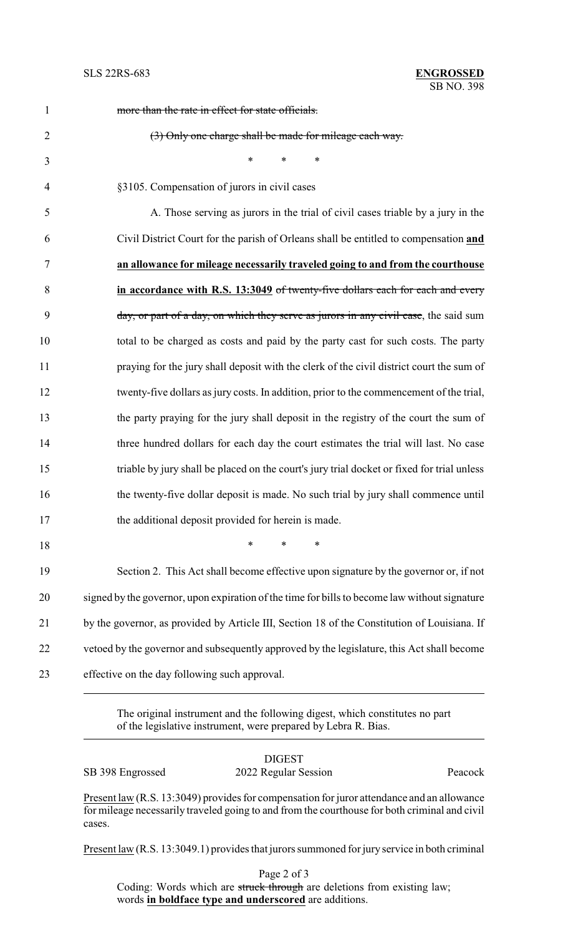| $\mathbf{1}$   | more than the rate in effect for state officials.                                             |
|----------------|-----------------------------------------------------------------------------------------------|
| $\overline{2}$ | (3) Only one charge shall be made for mileage each way.                                       |
| 3              | $\ast$<br>$\ast$<br>$\ast$                                                                    |
| $\overline{4}$ | §3105. Compensation of jurors in civil cases                                                  |
| 5              | A. Those serving as jurors in the trial of civil cases triable by a jury in the               |
| 6              | Civil District Court for the parish of Orleans shall be entitled to compensation and          |
| 7              | an allowance for mileage necessarily traveled going to and from the courthouse                |
| 8              | in accordance with R.S. 13:3049 of twenty-five dollars each for each and every                |
| 9              | day, or part of a day, on which they serve as jurors in any civil case, the said sum          |
| 10             | total to be charged as costs and paid by the party cast for such costs. The party             |
| 11             | praying for the jury shall deposit with the clerk of the civil district court the sum of      |
| 12             | twenty-five dollars as jury costs. In addition, prior to the commencement of the trial,       |
| 13             | the party praying for the jury shall deposit in the registry of the court the sum of          |
| 14             | three hundred dollars for each day the court estimates the trial will last. No case           |
| 15             | triable by jury shall be placed on the court's jury trial docket or fixed for trial unless    |
| 16             | the twenty-five dollar deposit is made. No such trial by jury shall commence until            |
| 17             | the additional deposit provided for herein is made.                                           |
| 18             | $\ast$<br>$\ast$<br>$\ast$                                                                    |
| 19             | Section 2. This Act shall become effective upon signature by the governor or, if not          |
| 20             | signed by the governor, upon expiration of the time for bills to become law without signature |
| 21             | by the governor, as provided by Article III, Section 18 of the Constitution of Louisiana. If  |
| 22             | vetoed by the governor and subsequently approved by the legislature, this Act shall become    |
| 23             | effective on the day following such approval.                                                 |

The original instrument and the following digest, which constitutes no part of the legislative instrument, were prepared by Lebra R. Bias.

|                  | <b>DIGEST</b>        |         |
|------------------|----------------------|---------|
| SB 398 Engrossed | 2022 Regular Session | Peacock |

Present law (R.S. 13:3049) provides for compensation for juror attendance and an allowance for mileage necessarily traveled going to and from the courthouse for both criminal and civil cases.

Present law (R.S. 13:3049.1) provides that jurors summoned for jury service in both criminal

Page 2 of 3 Coding: Words which are struck through are deletions from existing law; words **in boldface type and underscored** are additions.